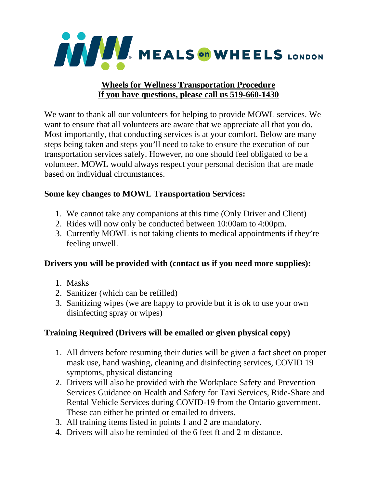

#### **Wheels for Wellness Transportation Procedure If you have questions, please call us 519-660-1430**

We want to thank all our volunteers for helping to provide MOWL services. We want to ensure that all volunteers are aware that we appreciate all that you do. Most importantly, that conducting services is at your comfort. Below are many steps being taken and steps you'll need to take to ensure the execution of our transportation services safely. However, no one should feel obligated to be a volunteer. MOWL would always respect your personal decision that are made based on individual circumstances.

### **Some key changes to MOWL Transportation Services:**

- 1. We cannot take any companions at this time (Only Driver and Client)
- 2. Rides will now only be conducted between 10:00am to 4:00pm.
- 3. Currently MOWL is not taking clients to medical appointments if they're feeling unwell.

### **Drivers you will be provided with (contact us if you need more supplies):**

- 1. Masks
- 2. Sanitizer (which can be refilled)
- 3. Sanitizing wipes (we are happy to provide but it is ok to use your own disinfecting spray or wipes)

# **Training Required (Drivers will be emailed or given physical copy)**

- 1. All drivers before resuming their duties will be given a fact sheet on proper mask use, hand washing, cleaning and disinfecting services, COVID 19 symptoms, physical distancing
- 2. Drivers will also be provided with the Workplace Safety and Prevention Services Guidance on Health and Safety for Taxi Services, Ride-Share and Rental Vehicle Services during COVID-19 from the Ontario government. These can either be printed or emailed to drivers.
- 3. All training items listed in points 1 and 2 are mandatory.
- 4. Drivers will also be reminded of the 6 feet ft and 2 m distance.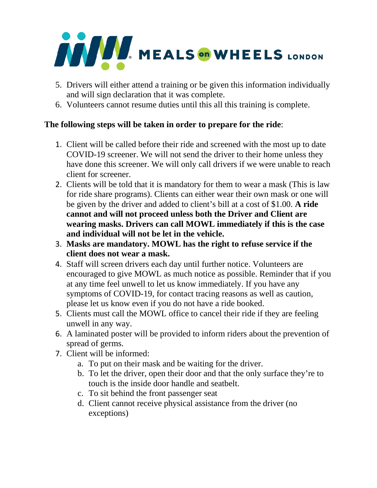# **WEALS** ON WHEELS LONDON

- 5. Drivers will either attend a training or be given this information individually and will sign declaration that it was complete.
- 6. Volunteers cannot resume duties until this all this training is complete.

# **The following steps will be taken in order to prepare for the ride**:

- 1. Client will be called before their ride and screened with the most up to date COVID-19 screener. We will not send the driver to their home unless they have done this screener. We will only call drivers if we were unable to reach client for screener.
- 2. Clients will be told that it is mandatory for them to wear a mask (This is law for ride share programs). Clients can either wear their own mask or one will be given by the driver and added to client's bill at a cost of \$1.00. **A ride cannot and will not proceed unless both the Driver and Client are wearing masks. Drivers can call MOWL immediately if this is the case and individual will not be let in the vehicle.**
- 3. **Masks are mandatory. MOWL has the right to refuse service if the client does not wear a mask.**
- 4. Staff will screen drivers each day until further notice. Volunteers are encouraged to give MOWL as much notice as possible. Reminder that if you at any time feel unwell to let us know immediately. If you have any symptoms of COVID-19, for contact tracing reasons as well as caution, please let us know even if you do not have a ride booked.
- 5. Clients must call the MOWL office to cancel their ride if they are feeling unwell in any way.
- 6. A laminated poster will be provided to inform riders about the prevention of spread of germs.
- 7. Client will be informed:
	- a. To put on their mask and be waiting for the driver.
	- b. To let the driver, open their door and that the only surface they're to touch is the inside door handle and seatbelt.
	- c. To sit behind the front passenger seat
	- d. Client cannot receive physical assistance from the driver (no exceptions)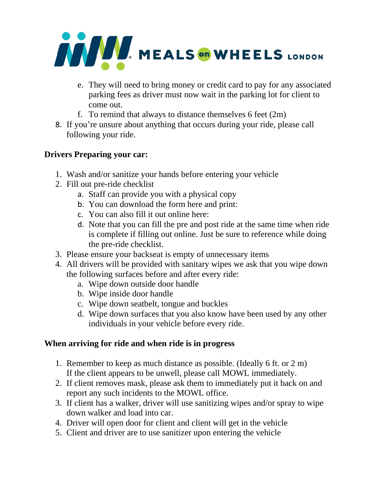

- e. They will need to bring money or credit card to pay for any associated parking fees as driver must now wait in the parking lot for client to come out.
- f. To remind that always to distance themselves 6 feet (2m)
- 8. If you're unsure about anything that occurs during your ride, please call following your ride.

# **Drivers Preparing your car:**

- 1. Wash and/or sanitize your hands before entering your vehicle
- 2. Fill out pre-ride checklist
	- a. Staff can provide you with a physical copy
	- b. You can download the form here and print:
	- c. You can also fill it out online here:
	- d. Note that you can fill the pre and post ride at the same time when ride is complete if filling out online. Just be sure to reference while doing the pre-ride checklist.
- 3. Please ensure your backseat is empty of unnecessary items
- 4. All drivers will be provided with sanitary wipes we ask that you wipe down the following surfaces before and after every ride:
	- a. Wipe down outside door handle
	- b. Wipe inside door handle
	- c. Wipe down seatbelt, tongue and buckles
	- d. Wipe down surfaces that you also know have been used by any other individuals in your vehicle before every ride.

### **When arriving for ride and when ride is in progress**

- 1. Remember to keep as much distance as possible. (Ideally 6 ft. or 2 m) If the client appears to be unwell, please call MOWL immediately.
- 2. If client removes mask, please ask them to immediately put it back on and report any such incidents to the MOWL office.
- 3. If client has a walker, driver will use sanitizing wipes and/or spray to wipe down walker and load into car.
- 4. Driver will open door for client and client will get in the vehicle
- 5. Client and driver are to use sanitizer upon entering the vehicle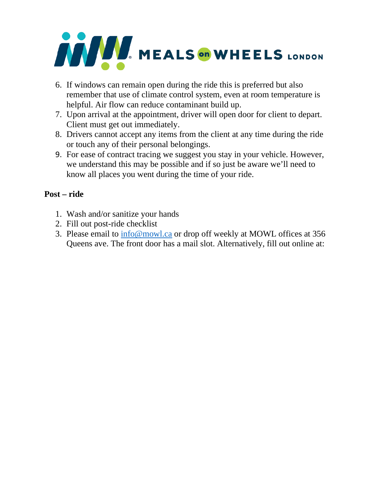

- 6. If windows can remain open during the ride this is preferred but also remember that use of climate control system, even at room temperature is helpful. Air flow can reduce contaminant build up.
- 7. Upon arrival at the appointment, driver will open door for client to depart. Client must get out immediately.
- 8. Drivers cannot accept any items from the client at any time during the ride or touch any of their personal belongings.
- 9. For ease of contract tracing we suggest you stay in your vehicle. However, we understand this may be possible and if so just be aware we'll need to know all places you went during the time of your ride.

# **Post – ride**

- 1. Wash and/or sanitize your hands
- 2. Fill out post-ride checklist
- 3. Please email to [info@mowl.ca](mailto:info@mowl.ca) or drop off weekly at MOWL offices at 356 Queens ave. The front door has a mail slot. Alternatively, fill out online at: